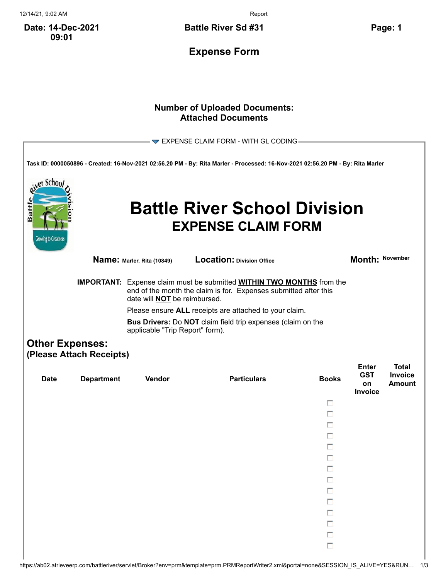12/14/21, 9:02 AM Report

**Date: 14-Dec-2021 09:01**

**Battle River Sd #31 Page: 1**

**Expense Form**

## **Number of Uploaded Documents: Attached Documents**

| $\blacktriangleright$ EXPENSE CLAIM FORM - WITH GL CODING<br>Task ID: 0000050896 - Created: 16-Nov-2021 02:56.20 PM - By: Rita Marler - Processed: 16-Nov-2021 02:56.20 PM - By: Rita Marler<br>er Schoo<br>Battl<br><b>Battle River School Division</b><br><b>EXPENSE CLAIM FORM</b> |                          |                                                                                                                                                                                                                                                                                                                                                                          |                                  |              |                            |                         |  |  |
|---------------------------------------------------------------------------------------------------------------------------------------------------------------------------------------------------------------------------------------------------------------------------------------|--------------------------|--------------------------------------------------------------------------------------------------------------------------------------------------------------------------------------------------------------------------------------------------------------------------------------------------------------------------------------------------------------------------|----------------------------------|--------------|----------------------------|-------------------------|--|--|
| <b>Growing to Greatness</b>                                                                                                                                                                                                                                                           |                          | Name: Marler, Rita (10849)                                                                                                                                                                                                                                                                                                                                               | <b>Location: Division Office</b> |              | Month: November            |                         |  |  |
|                                                                                                                                                                                                                                                                                       |                          | <b>IMPORTANT:</b> Expense claim must be submitted <b>WITHIN TWO MONTHS</b> from the<br>end of the month the claim is for. Expenses submitted after this<br>date will <b>NOT</b> be reimbursed.<br>Please ensure ALL receipts are attached to your claim.<br><b>Bus Drivers:</b> Do <b>NOT</b> claim field trip expenses (claim on the<br>applicable "Trip Report" form). |                                  |              |                            |                         |  |  |
| <b>Other Expenses:</b>                                                                                                                                                                                                                                                                | (Please Attach Receipts) |                                                                                                                                                                                                                                                                                                                                                                          |                                  |              | <b>Enter</b><br><b>GST</b> | <b>Total</b><br>Invoice |  |  |
| <b>Date</b>                                                                                                                                                                                                                                                                           | <b>Department</b>        | Vendor                                                                                                                                                                                                                                                                                                                                                                   | <b>Particulars</b>               | <b>Books</b> | on<br>Invoice              | <b>Amount</b>           |  |  |
|                                                                                                                                                                                                                                                                                       |                          |                                                                                                                                                                                                                                                                                                                                                                          |                                  | п            |                            |                         |  |  |
|                                                                                                                                                                                                                                                                                       |                          |                                                                                                                                                                                                                                                                                                                                                                          |                                  | п<br>п       |                            |                         |  |  |
|                                                                                                                                                                                                                                                                                       |                          |                                                                                                                                                                                                                                                                                                                                                                          |                                  | п            |                            |                         |  |  |
|                                                                                                                                                                                                                                                                                       |                          |                                                                                                                                                                                                                                                                                                                                                                          |                                  |              |                            |                         |  |  |
|                                                                                                                                                                                                                                                                                       |                          |                                                                                                                                                                                                                                                                                                                                                                          |                                  |              |                            |                         |  |  |
|                                                                                                                                                                                                                                                                                       |                          |                                                                                                                                                                                                                                                                                                                                                                          |                                  |              |                            |                         |  |  |
|                                                                                                                                                                                                                                                                                       |                          |                                                                                                                                                                                                                                                                                                                                                                          |                                  | П            |                            |                         |  |  |
|                                                                                                                                                                                                                                                                                       |                          |                                                                                                                                                                                                                                                                                                                                                                          |                                  | П            |                            |                         |  |  |
|                                                                                                                                                                                                                                                                                       |                          |                                                                                                                                                                                                                                                                                                                                                                          |                                  | П            |                            |                         |  |  |
|                                                                                                                                                                                                                                                                                       |                          |                                                                                                                                                                                                                                                                                                                                                                          |                                  | П            |                            |                         |  |  |
|                                                                                                                                                                                                                                                                                       |                          |                                                                                                                                                                                                                                                                                                                                                                          |                                  | П<br>П       |                            |                         |  |  |
|                                                                                                                                                                                                                                                                                       |                          |                                                                                                                                                                                                                                                                                                                                                                          |                                  |              |                            |                         |  |  |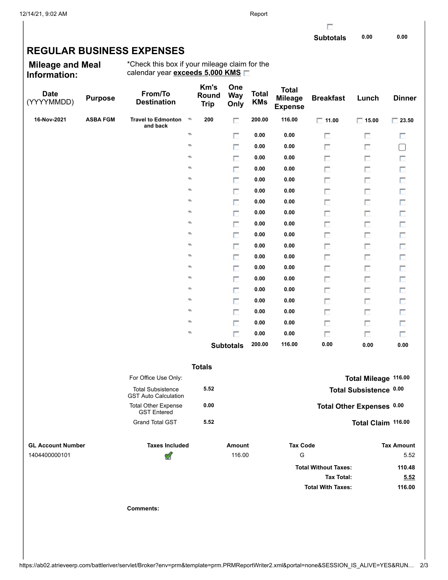г

## **REGULAR BUSINESS EXPENSES**

**Mileage and Meal Information:**

\*Check this box if your mileage claim for the calendar year **exceeds 5,000 KMS**

| <b>Date</b><br>(YYYYMMDD) | <b>Purpose</b>  | From/To<br><b>Destination</b>                           |   | Km's<br>Round<br><b>Trip</b> | One<br><b>Way</b><br>Only | <b>Total</b><br><b>KMs</b> | <b>Total</b><br><b>Mileage</b><br><b>Expense</b> | <b>Breakfast</b>            | Lunch                     | <b>Dinner</b>     |
|---------------------------|-----------------|---------------------------------------------------------|---|------------------------------|---------------------------|----------------------------|--------------------------------------------------|-----------------------------|---------------------------|-------------------|
| 16-Nov-2021               | <b>ASBA FGM</b> | <b>Travel to Edmonton</b><br>and back                   | D | 200                          | п                         | 200.00                     | 116.00                                           | $\Box$ 11.00                | $\Box$ 15.00              | $\Box$ 23.50      |
|                           |                 |                                                         | ø |                              | П                         | 0.00                       | 0.00                                             | п                           | П                         | П                 |
|                           |                 |                                                         | ø |                              | $\Box$                    | 0.00                       | 0.00                                             | П                           | п                         | $\Box$            |
|                           |                 |                                                         | ø |                              | п                         | 0.00                       | 0.00                                             | П                           | П                         | П                 |
|                           |                 |                                                         | ø |                              | П                         | 0.00                       | 0.00                                             | П                           | П                         | Π                 |
|                           |                 |                                                         | ø |                              | п                         | 0.00                       | 0.00                                             | П                           | П                         | П                 |
|                           |                 |                                                         | ø |                              | П                         | 0.00                       | 0.00                                             | П                           | П                         | П                 |
|                           |                 |                                                         | ø |                              | п                         | 0.00                       | 0.00                                             | П                           | п                         | П                 |
|                           |                 |                                                         | ø |                              | П                         | 0.00                       | 0.00                                             | П                           | П                         | П                 |
|                           |                 |                                                         | ø |                              | п                         | 0.00                       | 0.00                                             | П                           | п                         | П                 |
|                           |                 |                                                         | ø |                              | П                         | 0.00                       | 0.00                                             | П                           | П                         | П                 |
|                           |                 |                                                         | ø |                              | п                         | 0.00                       | 0.00                                             | П                           | П                         | П                 |
|                           |                 |                                                         | ø |                              | П                         | 0.00                       | 0.00                                             | П                           | П                         | П                 |
|                           |                 |                                                         | ø |                              | п                         | 0.00                       | 0.00                                             | П                           | п                         | П                 |
|                           |                 |                                                         | ø |                              | П                         | 0.00                       | 0.00                                             | П                           | П                         | П                 |
|                           |                 |                                                         | ø |                              | п                         | 0.00                       | 0.00                                             | П                           | П                         | П                 |
|                           |                 |                                                         | ø |                              | П                         | 0.00                       | 0.00                                             | П                           | П                         | $\Box$            |
|                           |                 |                                                         | ø |                              | п                         | 0.00                       | 0.00                                             | П                           | п                         | П                 |
|                           |                 |                                                         | ø |                              | П                         | 0.00                       | 0.00                                             | П                           | П                         | П                 |
|                           |                 |                                                         | ø |                              | п                         | 0.00                       | 0.00                                             | П                           | П                         | П                 |
|                           |                 |                                                         |   |                              | <b>Subtotals</b>          | 200.00                     | 116.00                                           | 0.00                        | 0.00                      | $\bf 0.00$        |
|                           |                 |                                                         |   | <b>Totals</b>                |                           |                            |                                                  |                             |                           |                   |
|                           |                 | For Office Use Only:                                    |   |                              |                           |                            |                                                  |                             | Total Mileage 116.00      |                   |
|                           |                 | <b>Total Subsistence</b><br><b>GST Auto Calculation</b> |   | 5.52                         |                           |                            |                                                  |                             | Total Subsistence 0.00    |                   |
|                           |                 | <b>Total Other Expense</b><br><b>GST Entered</b>        |   | 0.00                         |                           |                            |                                                  |                             | Total Other Expenses 0.00 |                   |
|                           |                 | <b>Grand Total GST</b>                                  |   | 5.52                         |                           |                            |                                                  |                             | Total Claim 116.00        |                   |
| <b>GL Account Number</b>  |                 | <b>Taxes Included</b>                                   |   |                              | Amount                    |                            | <b>Tax Code</b>                                  |                             |                           | <b>Tax Amount</b> |
| 1404400000101             |                 | ਂ                                                       |   |                              | 116.00                    |                            | ${\mathsf G}$                                    |                             |                           | 5.52              |
|                           |                 |                                                         |   |                              |                           |                            |                                                  | <b>Total Without Taxes:</b> |                           | 110.48            |
|                           |                 |                                                         |   |                              |                           |                            |                                                  | <b>Tax Total:</b>           |                           | 5.52              |
|                           |                 |                                                         |   |                              |                           |                            |                                                  | <b>Total With Taxes:</b>    |                           | 116.00            |
|                           |                 | <b>Comments:</b>                                        |   |                              |                           |                            |                                                  |                             |                           |                   |